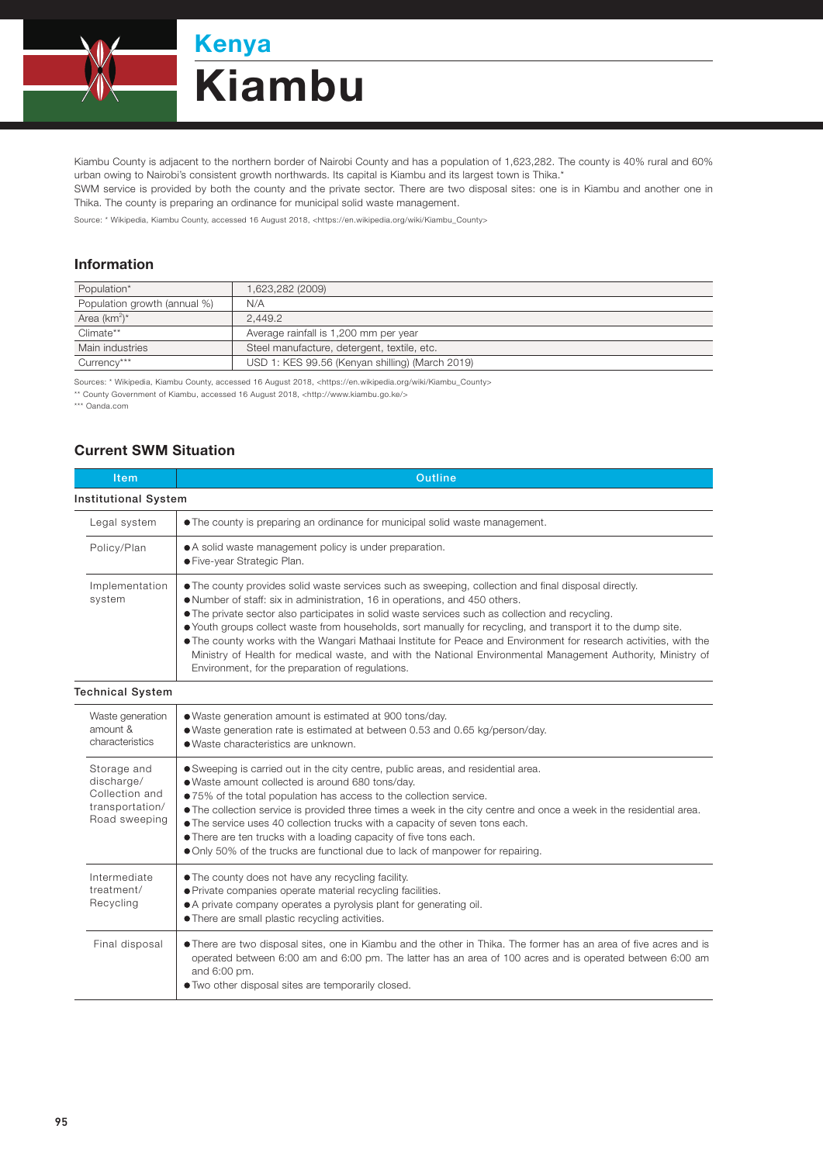

Kiambu County is adjacent to the northern border of Nairobi County and has a population of 1,623,282. The county is 40% rural and 60% urban owing to Nairobi's consistent growth northwards. Its capital is Kiambu and its largest town is Thika.\*

SWM service is provided by both the county and the private sector. There are two disposal sites: one is in Kiambu and another one in Thika. The county is preparing an ordinance for municipal solid waste management.

Source: \* Wikipedia, Kiambu County, accessed 16 August 2018, <https://en.wikipedia.org/wiki/Kiambu\_County>

## Information

| Population*                  | 1,623,282 (2009)                                |  |
|------------------------------|-------------------------------------------------|--|
| Population growth (annual %) | N/A                                             |  |
| Area $(km^2)^*$              | 2.449.2                                         |  |
| Climate**                    | Average rainfall is 1,200 mm per year           |  |
| Main industries              | Steel manufacture, detergent, textile, etc.     |  |
| Currency***                  | USD 1: KES 99.56 (Kenyan shilling) (March 2019) |  |

Sources: \* Wikipedia, Kiambu County, accessed 16 August 2018, <https://en.wikipedia.org/wiki/Kiambu\_County>

\*\* County Government of Kiambu, accessed 16 August 2018, <http://www.kiambu.go.ke/>

\*\*\* Oanda.com

## Current SWM Situation

| Item                                                                                                                                                                                                                                                                                                                   | Outline                                                                                                                                                                                                                                                                                                                                                                                                                                                                                                                                                                                                                                                                                          |  |  |
|------------------------------------------------------------------------------------------------------------------------------------------------------------------------------------------------------------------------------------------------------------------------------------------------------------------------|--------------------------------------------------------------------------------------------------------------------------------------------------------------------------------------------------------------------------------------------------------------------------------------------------------------------------------------------------------------------------------------------------------------------------------------------------------------------------------------------------------------------------------------------------------------------------------------------------------------------------------------------------------------------------------------------------|--|--|
| <b>Institutional System</b>                                                                                                                                                                                                                                                                                            |                                                                                                                                                                                                                                                                                                                                                                                                                                                                                                                                                                                                                                                                                                  |  |  |
| Legal system                                                                                                                                                                                                                                                                                                           | • The county is preparing an ordinance for municipal solid waste management.                                                                                                                                                                                                                                                                                                                                                                                                                                                                                                                                                                                                                     |  |  |
| Policy/Plan                                                                                                                                                                                                                                                                                                            | • A solid waste management policy is under preparation.<br>· Five-year Strategic Plan.                                                                                                                                                                                                                                                                                                                                                                                                                                                                                                                                                                                                           |  |  |
| Implementation<br>system                                                                                                                                                                                                                                                                                               | • The county provides solid waste services such as sweeping, collection and final disposal directly.<br>. Number of staff: six in administration, 16 in operations, and 450 others.<br>• The private sector also participates in solid waste services such as collection and recycling.<br>• Youth groups collect waste from households, sort manually for recycling, and transport it to the dump site.<br>. The county works with the Wangari Mathaai Institute for Peace and Environment for research activities, with the<br>Ministry of Health for medical waste, and with the National Environmental Management Authority, Ministry of<br>Environment, for the preparation of regulations. |  |  |
| <b>Technical System</b>                                                                                                                                                                                                                                                                                                |                                                                                                                                                                                                                                                                                                                                                                                                                                                                                                                                                                                                                                                                                                  |  |  |
| Waste generation<br>amount &<br>characteristics                                                                                                                                                                                                                                                                        | • Waste generation amount is estimated at 900 tons/day.<br>• Waste generation rate is estimated at between 0.53 and 0.65 kg/person/day.<br>· Waste characteristics are unknown.                                                                                                                                                                                                                                                                                                                                                                                                                                                                                                                  |  |  |
| Storage and<br>discharge/<br>Collection and<br>transportation/<br>Road sweeping                                                                                                                                                                                                                                        | • Sweeping is carried out in the city centre, public areas, and residential area.<br>. Waste amount collected is around 680 tons/day.<br>●75% of the total population has access to the collection service.<br>• The collection service is provided three times a week in the city centre and once a week in the residential area.<br>. The service uses 40 collection trucks with a capacity of seven tons each.<br>• There are ten trucks with a loading capacity of five tons each.<br>• Only 50% of the trucks are functional due to lack of manpower for repairing.                                                                                                                         |  |  |
| Intermediate<br>treatment/<br>Recycling                                                                                                                                                                                                                                                                                | • The county does not have any recycling facility.<br>• Private companies operate material recycling facilities.<br>• A private company operates a pyrolysis plant for generating oil.<br>• There are small plastic recycling activities.                                                                                                                                                                                                                                                                                                                                                                                                                                                        |  |  |
| . There are two disposal sites, one in Kiambu and the other in Thika. The former has an area of five acres and is<br>Final disposal<br>operated between 6:00 am and 6:00 pm. The latter has an area of 100 acres and is operated between 6:00 am<br>and 6:00 pm.<br>. Two other disposal sites are temporarily closed. |                                                                                                                                                                                                                                                                                                                                                                                                                                                                                                                                                                                                                                                                                                  |  |  |